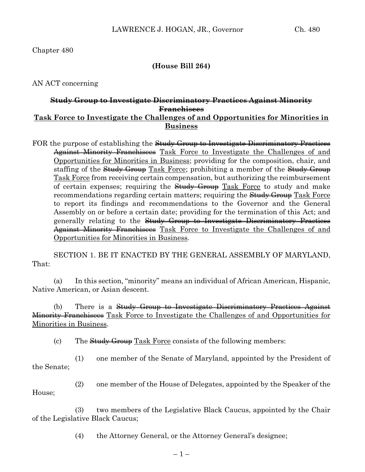## **(House Bill 264)**

AN ACT concerning

## **Study Group to Investigate Discriminatory Practices Against Minority Franchisees Task Force to Investigate the Challenges of and Opportunities for Minorities in Business**

FOR the purpose of establishing the <del>Study Group to Investigate Discriminatory Practices</del> Against Minority Franchisees Task Force to Investigate the Challenges of and Opportunities for Minorities in Business; providing for the composition, chair, and staffing of the Study Group Task Force; prohibiting a member of the Study Group Task Force from receiving certain compensation, but authorizing the reimbursement of certain expenses; requiring the Study Group Task Force to study and make recommendations regarding certain matters; requiring the **Study Group** Task Force to report its findings and recommendations to the Governor and the General Assembly on or before a certain date; providing for the termination of this Act; and generally relating to the Study Group to Investigate Discriminatory Practices Against Minority Franchisees Task Force to Investigate the Challenges of and Opportunities for Minorities in Business.

SECTION 1. BE IT ENACTED BY THE GENERAL ASSEMBLY OF MARYLAND, That:

(a) In this section, "minority" means an individual of African American, Hispanic, Native American, or Asian descent.

(b) There is a Study Group to Investigate Discriminatory Practices Against Minority Franchisees Task Force to Investigate the Challenges of and Opportunities for Minorities in Business.

(c) The  $Study Group Task Force consists of the following members:$ 

(1) one member of the Senate of Maryland, appointed by the President of the Senate;

(2) one member of the House of Delegates, appointed by the Speaker of the House;

(3) two members of the Legislative Black Caucus, appointed by the Chair of the Legislative Black Caucus;

(4) the Attorney General, or the Attorney General's designee;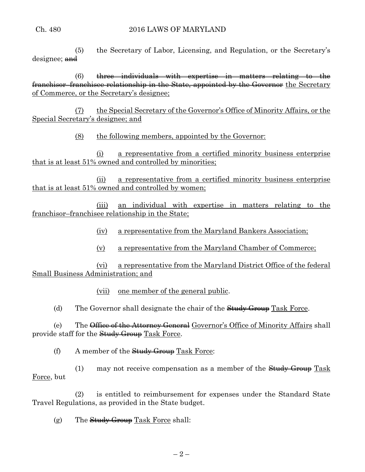(5) the Secretary of Labor, Licensing, and Regulation, or the Secretary's designee; and

 $(6)$  three individuals with expertise in matters relating to the franchisor–franchisee relationship in the State, appointed by the Governor the Secretary of Commerce, or the Secretary's designee;

(7) the Special Secretary of the Governor's Office of Minority Affairs, or the Special Secretary's designee; and

(8) the following members, appointed by the Governor:

(i) a representative from a certified minority business enterprise that is at least 51% owned and controlled by minorities;

(ii) a representative from a certified minority business enterprise that is at least 51% owned and controlled by women;

(iii) an individual with expertise in matters relating to the franchisor–franchisee relationship in the State;

- (iv) a representative from the Maryland Bankers Association;
- (v) a representative from the Maryland Chamber of Commerce;

(vi) a representative from the Maryland District Office of the federal Small Business Administration; and

(vii) one member of the general public.

(d) The Governor shall designate the chair of the  $Study$  Group Task Force.

(e) The <del>Office of the Attorney General</del> Governor's Office of Minority Affairs shall provide staff for the Study Group Task Force.

(f) A member of the  $Study$  Group Task Force:

(1) may not receive compensation as a member of the  $Study$  Group Task Force, but

(2) is entitled to reimbursement for expenses under the Standard State Travel Regulations, as provided in the State budget.

 $(g)$  The Study Group Task Force shall: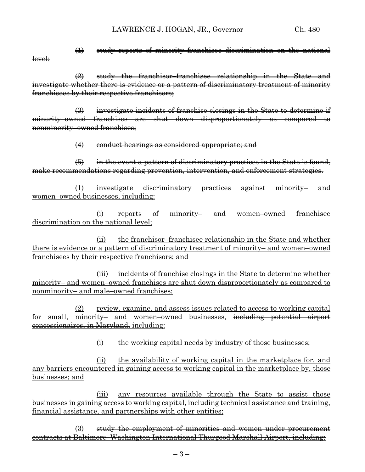level;

(1) study reports of minority franchisee discrimination on the national

(2) study the franchisor–franchisee relationship in the State and investigate whether there is evidence or a pattern of discriminatory treatment of minority franchisees by their respective franchisors;

(3) investigate incidents of franchise closings in the State to determine if minority–owned franchises are shut down disproportionately as compared to nonminority–owned franchises;

(4) conduct hearings as considered appropriate; and

(5) in the event a pattern of discriminatory practices in the State is found, make recommendations regarding prevention, intervention, and enforcement strategies.

(1) investigate discriminatory practices against minority– and women–owned businesses, including:

(i) reports of minority– and women–owned franchisee discrimination on the national level;

(ii) the franchisor–franchisee relationship in the State and whether there is evidence or a pattern of discriminatory treatment of minority– and women–owned franchisees by their respective franchisors; and

(iii) incidents of franchise closings in the State to determine whether minority– and women–owned franchises are shut down disproportionately as compared to nonminority– and male–owned franchises;

(2) review, examine, and assess issues related to access to working capital for small, minority- and women-owned businesses, including potential airport concessionaires, in Maryland, including:

(i) the working capital needs by industry of those businesses;

(ii) the availability of working capital in the marketplace for, and any barriers encountered in gaining access to working capital in the marketplace by, those businesses; and

(iii) any resources available through the State to assist those businesses in gaining access to working capital, including technical assistance and training, financial assistance, and partnerships with other entities;

(3) study the employment of minorities and women under procurement contracts at Baltimore–Washington International Thurgood Marshall Airport, including: